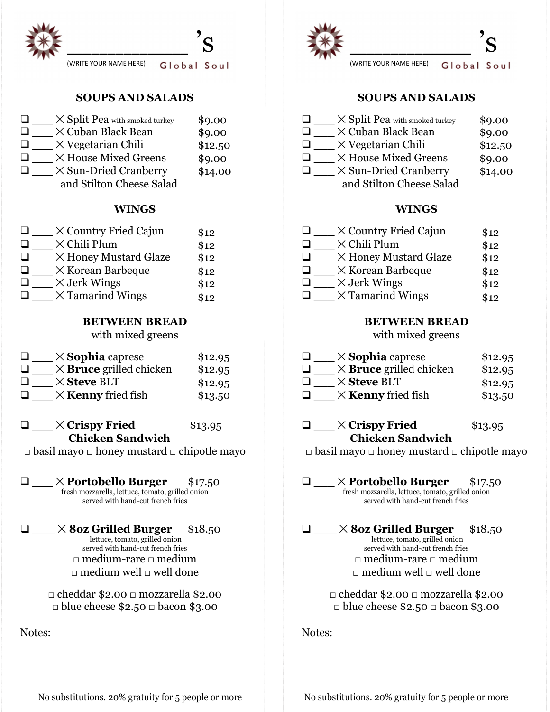

# **SOUPS AND SALADS**

| $\times$ Split Pea with smoked turkey | \$9.00  |
|---------------------------------------|---------|
| X Cuban Black Bean                    | \$9.00  |
| $\times$ Vegetarian Chili             | \$12.50 |
| X House Mixed Greens                  | \$9.00  |
| $\times$ Sun-Dried Cranberry          | \$14.00 |
| and Stilton Cheese Salad              |         |

## **WINGS**

| $\times$ Country Fried Cajun | \$12 |
|------------------------------|------|
| $\times$ Chili Plum          | \$12 |
| X Honey Mustard Glaze        | \$12 |
| $\times$ Korean Barbeque     | \$12 |
| $\times$ Jerk Wings          | \$12 |
| $\times$ Tamarind Wings      | \$12 |

## **BETWEEN BREAD**

with mixed greens

| $\perp$        | $\times$ <b>Sophia</b> caprese | \$12.95 |
|----------------|--------------------------------|---------|
| $\perp$        | $\times$ Bruce grilled chicken | \$12.95 |
| $\perp$        | $\times$ Steve BLT             | \$12.95 |
| $\blacksquare$ | $\times$ Kenny fried fish      | \$13.50 |

## $\Box$   $\Box$   $\times$  Crispy Fried \$13.95 **Chicken Sandwich**

□ basil mayo □ honey mustard □ chipotle mayo

q \_\_\_ ✕ **Portobello Burger** \$17.50 fresh mozzarella, lettuce, tomato, grilled onion served with hand-cut french fries

q **\_\_\_** ✕ **8oz Grilled Burger** \$18.50 lettuce, tomato, grilled onion served with hand-cut french fries □ medium-rare □ medium  $\Box$  medium well  $\Box$  well done

> □ cheddar \$2.00 □ mozzarella \$2.00 □ blue cheese \$2.50 □ bacon \$3.00

Notes:



# **SOUPS AND SALADS**

| $\times$ Split Pea with smoked turkey | \$9.00  |
|---------------------------------------|---------|
| $\times$ Cuban Black Bean             | \$9.00  |
| $\times$ Vegetarian Chili             | \$12.50 |
| X House Mixed Greens                  | \$9.00  |
| $\times$ Sun-Dried Cranberry          | \$14.00 |
| and Stilton Cheese Salad              |         |

## **WINGS**

| $\times$ Country Fried Cajun | \$12 |
|------------------------------|------|
| $\times$ Chili Plum          | \$12 |
| X Honey Mustard Glaze        | \$12 |
| $\times$ Korean Barbeque     | \$12 |
| $\times$ Jerk Wings          | \$12 |
| $\times$ Tamarind Wings      | \$12 |

### **BETWEEN BREAD**

with mixed greens

| $\mathbf{1}$ | $\times$ Sophia caprese        | \$12.95 |
|--------------|--------------------------------|---------|
| $\perp$      | $\times$ Bruce grilled chicken | \$12.95 |
| $\perp$      | $\times$ Steve BLT             | \$12.95 |
| $\mathbf{I}$ | $\times$ Kenny fried fish      | \$13.50 |

# $\Box$   $\times$  Crispy Fried \$13.95 **Chicken Sandwich**

□ basil mayo □ honey mustard □ chipotle mayo

q \_\_\_ ✕ **Portobello Burger** \$17.50 fresh mozzarella, lettuce, tomato, grilled onion served with hand-cut french fries

q **\_\_\_** ✕ **8oz Grilled Burger** \$18.50 lettuce, tomato, grilled onion served with hand-cut french fries □ medium-rare □ medium  $\Box$  medium well  $\Box$  well done

> □ cheddar \$2.00 □ mozzarella \$2.00 □ blue cheese \$2.50 □ bacon \$3.00

Notes:

No substitutions. 20% gratuity for 5 people or more No substitutions. 20% gratuity for 5 people or more